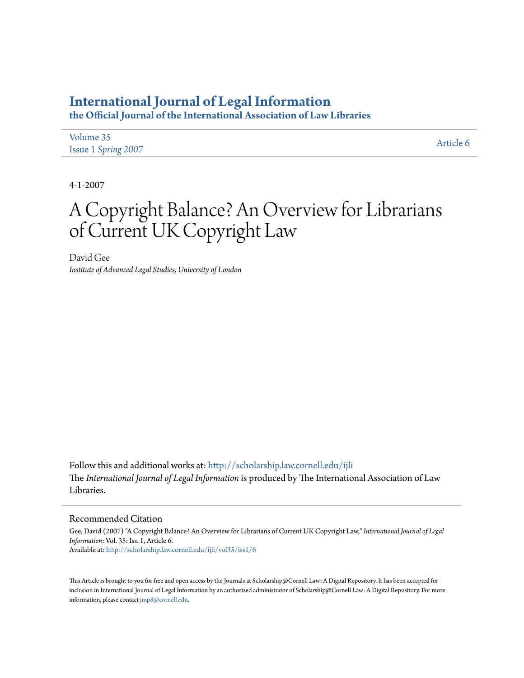## **[International Journal of Legal Information](http://scholarship.law.cornell.edu/ijli?utm_source=scholarship.law.cornell.edu%2Fijli%2Fvol35%2Fiss1%2F6&utm_medium=PDF&utm_campaign=PDFCoverPages)**

**the Official Journal of the International Association of Law Libraries**

| Volume 35           | Article 6 |
|---------------------|-----------|
| Issue 1 Spring 2007 |           |

4-1-2007

# A Copyright Balance? An Overview for Librarians of Current UK Copyright Law

David Gee *Institute of Advanced Legal Studies, University of London*

Follow this and additional works at: [http://scholarship.law.cornell.edu/ijli](http://scholarship.law.cornell.edu/ijli?utm_source=scholarship.law.cornell.edu%2Fijli%2Fvol35%2Fiss1%2F6&utm_medium=PDF&utm_campaign=PDFCoverPages) The *International Journal of Legal Information* is produced by The International Association of Law Libraries.

## Recommended Citation

Gee, David (2007) "A Copyright Balance? An Overview for Librarians of Current UK Copyright Law," *International Journal of Legal Information*: Vol. 35: Iss. 1, Article 6. Available at: [http://scholarship.law.cornell.edu/ijli/vol35/iss1/6](http://scholarship.law.cornell.edu/ijli/vol35/iss1/6?utm_source=scholarship.law.cornell.edu%2Fijli%2Fvol35%2Fiss1%2F6&utm_medium=PDF&utm_campaign=PDFCoverPages)

This Article is brought to you for free and open access by the Journals at Scholarship@Cornell Law: A Digital Repository. It has been accepted for inclusion in International Journal of Legal Information by an authorized administrator of Scholarship@Cornell Law: A Digital Repository. For more information, please contact [jmp8@cornell.edu.](mailto:jmp8@cornell.edu)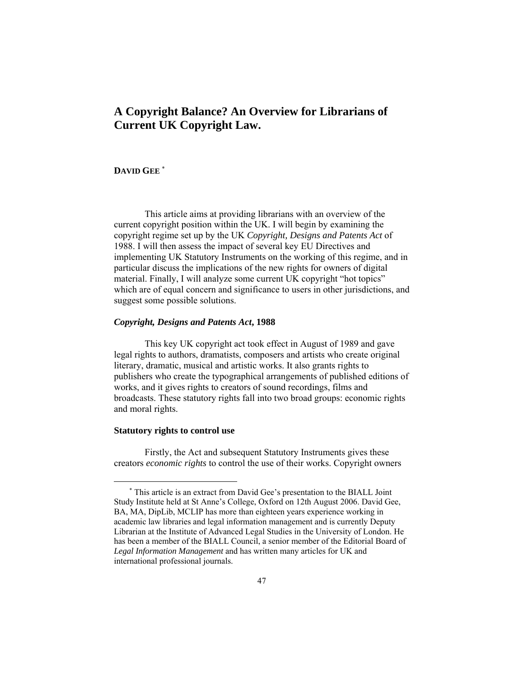## **A Copyright Balance? An Overview for Librarians of Current UK Copyright Law.**

## **DAVID GEE** <sup>∗</sup>

This article aims at providing librarians with an overview of the current copyright position within the UK. I will begin by examining the copyright regime set up by the UK *Copyright, Designs and Patents Act* of 1988. I will then assess the impact of several key EU Directives and implementing UK Statutory Instruments on the working of this regime, and in particular discuss the implications of the new rights for owners of digital material. Finally, I will analyze some current UK copyright "hot topics" which are of equal concern and significance to users in other jurisdictions, and suggest some possible solutions.

#### *Copyright, Designs and Patents Act***, 1988**

This key UK copyright act took effect in August of 1989 and gave legal rights to authors, dramatists, composers and artists who create original literary, dramatic, musical and artistic works. It also grants rights to publishers who create the typographical arrangements of published editions of works, and it gives rights to creators of sound recordings, films and broadcasts. These statutory rights fall into two broad groups: economic rights and moral rights.

#### **Statutory rights to control use**

 $\overline{a}$ 

Firstly, the Act and subsequent Statutory Instruments gives these creators *economic rights* to control the use of their works. Copyright owners

<sup>∗</sup> This article is an extract from David Gee's presentation to the BIALL Joint Study Institute held at St Anne's College, Oxford on 12th August 2006. David Gee, BA, MA, DipLib, MCLIP has more than eighteen years experience working in academic law libraries and legal information management and is currently Deputy Librarian at the Institute of Advanced Legal Studies in the University of London. He has been a member of the BIALL Council, a senior member of the Editorial Board of *Legal Information Management* and has written many articles for UK and international professional journals.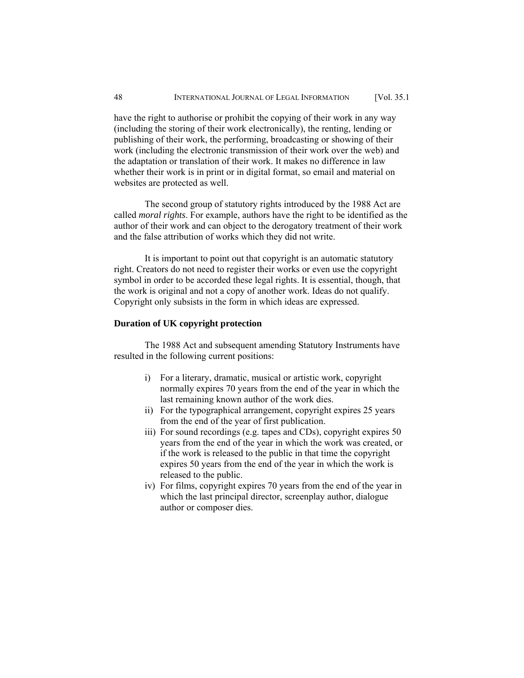have the right to authorise or prohibit the copying of their work in any way (including the storing of their work electronically), the renting, lending or publishing of their work, the performing, broadcasting or showing of their work (including the electronic transmission of their work over the web) and the adaptation or translation of their work. It makes no difference in law whether their work is in print or in digital format, so email and material on websites are protected as well.

The second group of statutory rights introduced by the 1988 Act are called *moral rights*. For example, authors have the right to be identified as the author of their work and can object to the derogatory treatment of their work and the false attribution of works which they did not write.

It is important to point out that copyright is an automatic statutory right. Creators do not need to register their works or even use the copyright symbol in order to be accorded these legal rights. It is essential, though, that the work is original and not a copy of another work. Ideas do not qualify. Copyright only subsists in the form in which ideas are expressed.

#### **Duration of UK copyright protection**

The 1988 Act and subsequent amending Statutory Instruments have resulted in the following current positions:

- i) For a literary, dramatic, musical or artistic work, copyright normally expires 70 years from the end of the year in which the last remaining known author of the work dies.
- ii) For the typographical arrangement, copyright expires 25 years from the end of the year of first publication.
- iii) For sound recordings (e.g. tapes and CDs), copyright expires 50 years from the end of the year in which the work was created, or if the work is released to the public in that time the copyright expires 50 years from the end of the year in which the work is released to the public.
- iv) For films, copyright expires 70 years from the end of the year in which the last principal director, screenplay author, dialogue author or composer dies.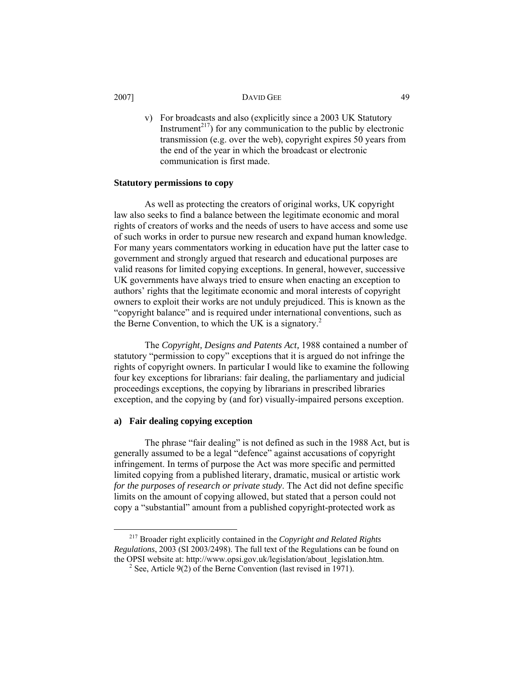v) For broadcasts and also (explicitly since a 2003 UK Statutory Instrument<sup>217</sup>) for any communication to the public by electronic transmission (e.g. over the web), copyright expires 50 years from the end of the year in which the broadcast or electronic communication is first made.

#### **Statutory permissions to copy**

As well as protecting the creators of original works, UK copyright law also seeks to find a balance between the legitimate economic and moral rights of creators of works and the needs of users to have access and some use of such works in order to pursue new research and expand human knowledge. For many years commentators working in education have put the latter case to government and strongly argued that research and educational purposes are valid reasons for limited copying exceptions. In general, however, successive UK governments have always tried to ensure when enacting an exception to authors' rights that the legitimate economic and moral interests of copyright owners to exploit their works are not unduly prejudiced. This is known as the "copyright balance" and is required under international conventions, such as the Berne Convention, to which the UK is a signatory.<sup>2</sup>

The *Copyright, Designs and Patents Act,* 1988 contained a number of statutory "permission to copy" exceptions that it is argued do not infringe the rights of copyright owners. In particular I would like to examine the following four key exceptions for librarians: fair dealing, the parliamentary and judicial proceedings exceptions, the copying by librarians in prescribed libraries exception, and the copying by (and for) visually-impaired persons exception.

#### **a) Fair dealing copying exception**

The phrase "fair dealing" is not defined as such in the 1988 Act, but is generally assumed to be a legal "defence" against accusations of copyright infringement. In terms of purpose the Act was more specific and permitted limited copying from a published literary, dramatic, musical or artistic work *for the purposes of research or private study*. The Act did not define specific limits on the amount of copying allowed, but stated that a person could not copy a "substantial" amount from a published copyright-protected work as

 <sup>217</sup> Broader right explicitly contained in the *Copyright and Related Rights Regulations*, 2003 (SI 2003/2498). The full text of the Regulations can be found on the OPSI website at: http://www.opsi.gov.uk/legislation/about\_legislation.htm.

 $2^{\circ}$  See, Article 9(2) of the Berne Convention (last revised in 1971).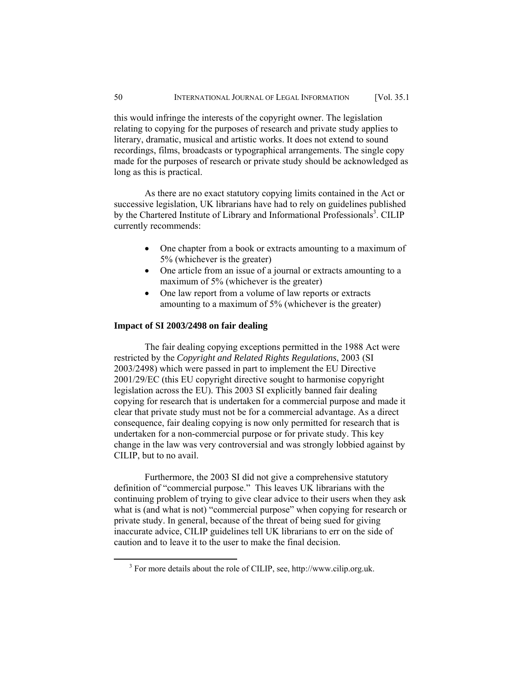this would infringe the interests of the copyright owner. The legislation relating to copying for the purposes of research and private study applies to literary, dramatic, musical and artistic works. It does not extend to sound recordings, films, broadcasts or typographical arrangements. The single copy made for the purposes of research or private study should be acknowledged as long as this is practical.

As there are no exact statutory copying limits contained in the Act or successive legislation, UK librarians have had to rely on guidelines published by the Chartered Institute of Library and Informational Professionals<sup>3</sup>. CILIP currently recommends:

- One chapter from a book or extracts amounting to a maximum of 5% (whichever is the greater)
- One article from an issue of a journal or extracts amounting to a maximum of 5% (whichever is the greater)
- One law report from a volume of law reports or extracts amounting to a maximum of 5% (whichever is the greater)

#### **Impact of SI 2003/2498 on fair dealing**

The fair dealing copying exceptions permitted in the 1988 Act were restricted by the *Copyright and Related Rights Regulations*, 2003 (SI 2003/2498) which were passed in part to implement the EU Directive 2001/29/EC (this EU copyright directive sought to harmonise copyright legislation across the EU). This 2003 SI explicitly banned fair dealing copying for research that is undertaken for a commercial purpose and made it clear that private study must not be for a commercial advantage. As a direct consequence, fair dealing copying is now only permitted for research that is undertaken for a non-commercial purpose or for private study. This key change in the law was very controversial and was strongly lobbied against by CILIP, but to no avail.

Furthermore, the 2003 SI did not give a comprehensive statutory definition of "commercial purpose." This leaves UK librarians with the continuing problem of trying to give clear advice to their users when they ask what is (and what is not) "commercial purpose" when copying for research or private study. In general, because of the threat of being sued for giving inaccurate advice, CILIP guidelines tell UK librarians to err on the side of caution and to leave it to the user to make the final decision.

 $\frac{1}{3}$ For more details about the role of CILIP, see, http://www.cilip.org.uk.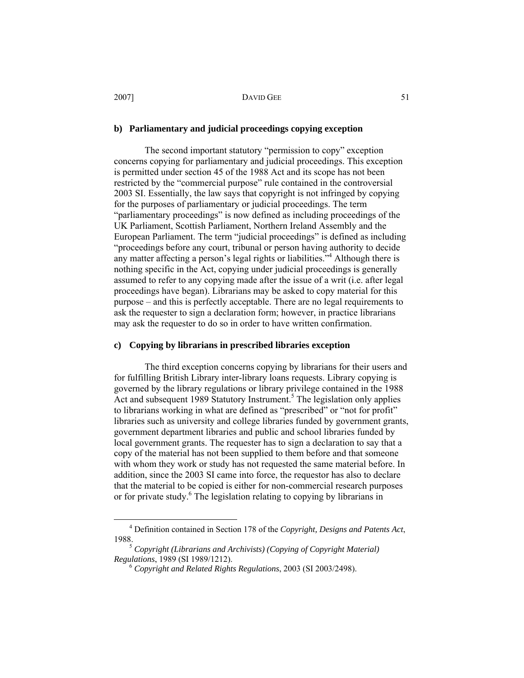#### **b) Parliamentary and judicial proceedings copying exception**

The second important statutory "permission to copy" exception concerns copying for parliamentary and judicial proceedings. This exception is permitted under section 45 of the 1988 Act and its scope has not been restricted by the "commercial purpose" rule contained in the controversial 2003 SI. Essentially, the law says that copyright is not infringed by copying for the purposes of parliamentary or judicial proceedings. The term "parliamentary proceedings" is now defined as including proceedings of the UK Parliament, Scottish Parliament, Northern Ireland Assembly and the European Parliament. The term "judicial proceedings" is defined as including "proceedings before any court, tribunal or person having authority to decide any matter affecting a person's legal rights or liabilities."<sup>4</sup> Although there is nothing specific in the Act, copying under judicial proceedings is generally assumed to refer to any copying made after the issue of a writ (i.e. after legal proceedings have began). Librarians may be asked to copy material for this purpose – and this is perfectly acceptable. There are no legal requirements to ask the requester to sign a declaration form; however, in practice librarians may ask the requester to do so in order to have written confirmation.

## **c) Copying by librarians in prescribed libraries exception**

The third exception concerns copying by librarians for their users and for fulfilling British Library inter-library loans requests. Library copying is governed by the library regulations or library privilege contained in the 1988 Act and subsequent 1989 Statutory Instrument.<sup>5</sup> The legislation only applies to librarians working in what are defined as "prescribed" or "not for profit" libraries such as university and college libraries funded by government grants, government department libraries and public and school libraries funded by local government grants. The requester has to sign a declaration to say that a copy of the material has not been supplied to them before and that someone with whom they work or study has not requested the same material before. In addition, since the 2003 SI came into force, the requestor has also to declare that the material to be copied is either for non-commercial research purposes or for private study.<sup>6</sup> The legislation relating to copying by librarians in

 $\overline{4}$ Definition contained in Section 178 of the *Copyright, Designs and Patents Act*,

<sup>&</sup>lt;sup>5</sup> *Copyright (Librarians and Archivists) (Copying of Copyright Material) Regulations, 1989 (SI 1989/1212).* 

*Regulations*, 1989 (SI 1989/1212). 6 *Copyright and Related Rights Regulations*, 2003 (SI 2003/2498).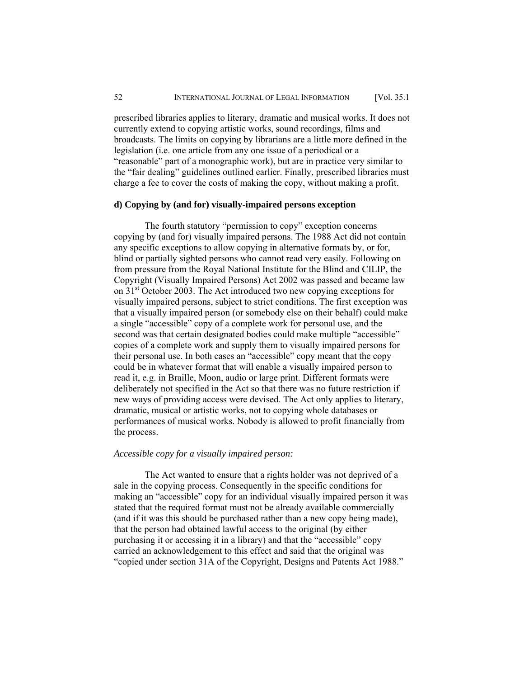prescribed libraries applies to literary, dramatic and musical works. It does not currently extend to copying artistic works, sound recordings, films and broadcasts. The limits on copying by librarians are a little more defined in the legislation (i.e. one article from any one issue of a periodical or a "reasonable" part of a monographic work), but are in practice very similar to the "fair dealing" guidelines outlined earlier. Finally, prescribed libraries must charge a fee to cover the costs of making the copy, without making a profit.

## **d) Copying by (and for) visually-impaired persons exception**

The fourth statutory "permission to copy" exception concerns copying by (and for) visually impaired persons. The 1988 Act did not contain any specific exceptions to allow copying in alternative formats by, or for, blind or partially sighted persons who cannot read very easily. Following on from pressure from the Royal National Institute for the Blind and CILIP, the Copyright (Visually Impaired Persons) Act 2002 was passed and became law on 31st October 2003. The Act introduced two new copying exceptions for visually impaired persons, subject to strict conditions. The first exception was that a visually impaired person (or somebody else on their behalf) could make a single "accessible" copy of a complete work for personal use, and the second was that certain designated bodies could make multiple "accessible" copies of a complete work and supply them to visually impaired persons for their personal use. In both cases an "accessible" copy meant that the copy could be in whatever format that will enable a visually impaired person to read it, e.g. in Braille, Moon, audio or large print. Different formats were deliberately not specified in the Act so that there was no future restriction if new ways of providing access were devised. The Act only applies to literary, dramatic, musical or artistic works, not to copying whole databases or performances of musical works. Nobody is allowed to profit financially from the process.

#### *Accessible copy for a visually impaired person:*

The Act wanted to ensure that a rights holder was not deprived of a sale in the copying process. Consequently in the specific conditions for making an "accessible" copy for an individual visually impaired person it was stated that the required format must not be already available commercially (and if it was this should be purchased rather than a new copy being made), that the person had obtained lawful access to the original (by either purchasing it or accessing it in a library) and that the "accessible" copy carried an acknowledgement to this effect and said that the original was "copied under section 31A of the Copyright, Designs and Patents Act 1988."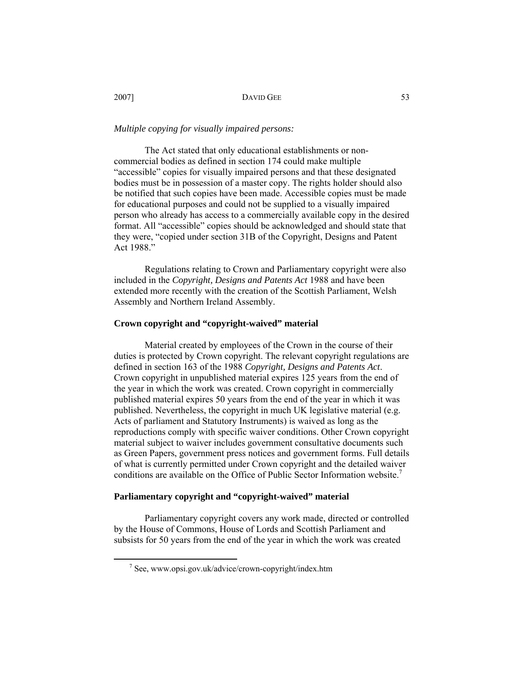#### *Multiple copying for visually impaired persons:*

The Act stated that only educational establishments or noncommercial bodies as defined in section 174 could make multiple "accessible" copies for visually impaired persons and that these designated bodies must be in possession of a master copy. The rights holder should also be notified that such copies have been made. Accessible copies must be made for educational purposes and could not be supplied to a visually impaired person who already has access to a commercially available copy in the desired format. All "accessible" copies should be acknowledged and should state that they were, "copied under section 31B of the Copyright, Designs and Patent Act 1988."

Regulations relating to Crown and Parliamentary copyright were also included in the *Copyright, Designs and Patents Act* 1988 and have been extended more recently with the creation of the Scottish Parliament, Welsh Assembly and Northern Ireland Assembly.

#### **Crown copyright and "copyright-waived" material**

Material created by employees of the Crown in the course of their duties is protected by Crown copyright. The relevant copyright regulations are defined in section 163 of the 1988 *Copyright, Designs and Patents Act*. Crown copyright in unpublished material expires 125 years from the end of the year in which the work was created. Crown copyright in commercially published material expires 50 years from the end of the year in which it was published. Nevertheless, the copyright in much UK legislative material (e.g. Acts of parliament and Statutory Instruments) is waived as long as the reproductions comply with specific waiver conditions. Other Crown copyright material subject to waiver includes government consultative documents such as Green Papers, government press notices and government forms. Full details of what is currently permitted under Crown copyright and the detailed waiver conditions are available on the Office of Public Sector Information website.<sup>7</sup>

#### **Parliamentary copyright and "copyright-waived" material**

Parliamentary copyright covers any work made, directed or controlled by the House of Commons, House of Lords and Scottish Parliament and subsists for 50 years from the end of the year in which the work was created

 $\frac{1}{7}$  $\frac{7}{1}$  See, www.opsi.gov.uk/advice/crown-copyright/index.htm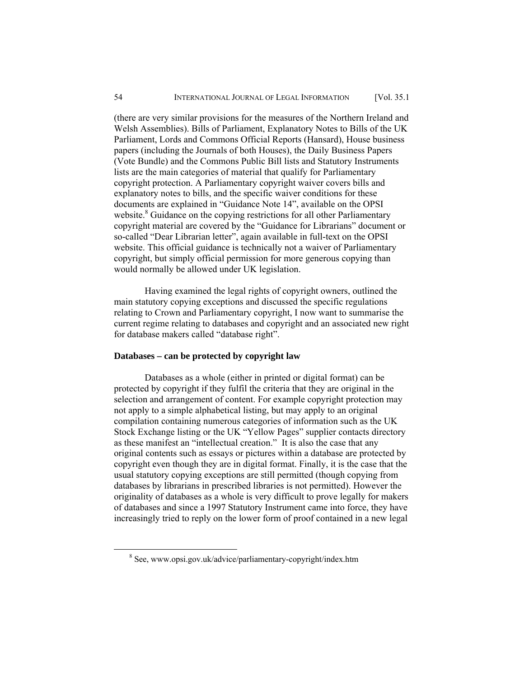(there are very similar provisions for the measures of the Northern Ireland and Welsh Assemblies). Bills of Parliament, Explanatory Notes to Bills of the UK Parliament, Lords and Commons Official Reports (Hansard), House business papers (including the Journals of both Houses), the Daily Business Papers (Vote Bundle) and the Commons Public Bill lists and Statutory Instruments lists are the main categories of material that qualify for Parliamentary copyright protection. A Parliamentary copyright waiver covers bills and explanatory notes to bills, and the specific waiver conditions for these documents are explained in "Guidance Note 14", available on the OPSI website.<sup>8</sup> Guidance on the copying restrictions for all other Parliamentary copyright material are covered by the "Guidance for Librarians" document or so-called "Dear Librarian letter", again available in full-text on the OPSI website. This official guidance is technically not a waiver of Parliamentary copyright, but simply official permission for more generous copying than would normally be allowed under UK legislation.

Having examined the legal rights of copyright owners, outlined the main statutory copying exceptions and discussed the specific regulations relating to Crown and Parliamentary copyright, I now want to summarise the current regime relating to databases and copyright and an associated new right for database makers called "database right".

#### **Databases – can be protected by copyright law**

Databases as a whole (either in printed or digital format) can be protected by copyright if they fulfil the criteria that they are original in the selection and arrangement of content. For example copyright protection may not apply to a simple alphabetical listing, but may apply to an original compilation containing numerous categories of information such as the UK Stock Exchange listing or the UK "Yellow Pages" supplier contacts directory as these manifest an "intellectual creation." It is also the case that any original contents such as essays or pictures within a database are protected by copyright even though they are in digital format. Finally, it is the case that the usual statutory copying exceptions are still permitted (though copying from databases by librarians in prescribed libraries is not permitted). However the originality of databases as a whole is very difficult to prove legally for makers of databases and since a 1997 Statutory Instrument came into force, they have increasingly tried to reply on the lower form of proof contained in a new legal

 <sup>8</sup> See, www.opsi.gov.uk/advice/parliamentary-copyright/index.htm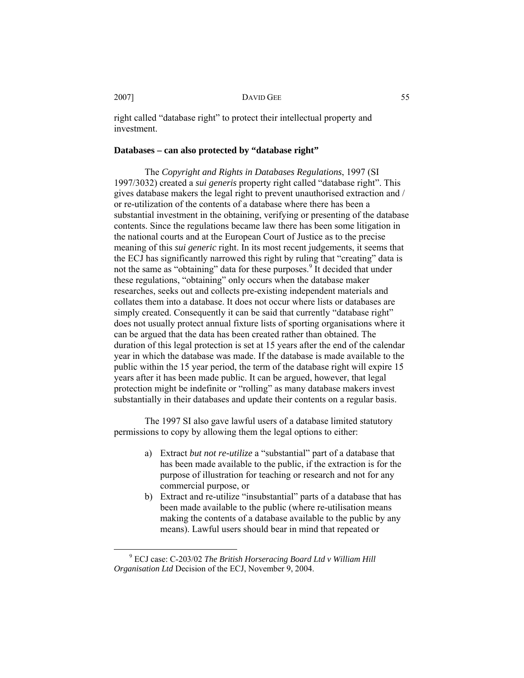right called "database right" to protect their intellectual property and investment.

### **Databases – can also protected by "database right"**

The *Copyright and Rights in Databases Regulations*, 1997 (SI 1997/3032) created a *sui generis* property right called "database right". This gives database makers the legal right to prevent unauthorised extraction and / or re-utilization of the contents of a database where there has been a substantial investment in the obtaining, verifying or presenting of the database contents. Since the regulations became law there has been some litigation in the national courts and at the European Court of Justice as to the precise meaning of this *sui generic* right. In its most recent judgements, it seems that the ECJ has significantly narrowed this right by ruling that "creating" data is not the same as "obtaining" data for these purposes.<sup>9</sup> It decided that under these regulations, "obtaining" only occurs when the database maker researches, seeks out and collects pre-existing independent materials and collates them into a database. It does not occur where lists or databases are simply created. Consequently it can be said that currently "database right" does not usually protect annual fixture lists of sporting organisations where it can be argued that the data has been created rather than obtained. The duration of this legal protection is set at 15 years after the end of the calendar year in which the database was made. If the database is made available to the public within the 15 year period, the term of the database right will expire 15 years after it has been made public. It can be argued, however, that legal protection might be indefinite or "rolling" as many database makers invest substantially in their databases and update their contents on a regular basis.

The 1997 SI also gave lawful users of a database limited statutory permissions to copy by allowing them the legal options to either:

- a) Extract *but not re-utilize* a "substantial" part of a database that has been made available to the public, if the extraction is for the purpose of illustration for teaching or research and not for any commercial purpose, or
- b) Extract and re-utilize "insubstantial" parts of a database that has been made available to the public (where re-utilisation means making the contents of a database available to the public by any means). Lawful users should bear in mind that repeated or

 $\frac{1}{9}$  ECJ case: C-203/02 *The British Horseracing Board Ltd v William Hill Organisation Ltd* Decision of the ECJ, November 9, 2004.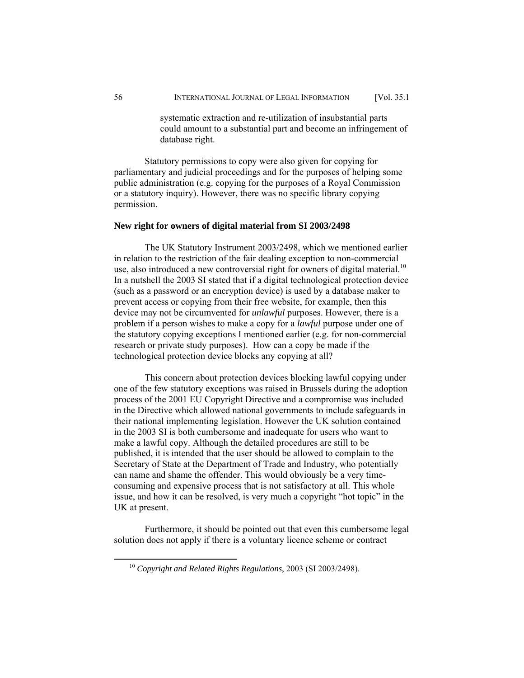systematic extraction and re-utilization of insubstantial parts could amount to a substantial part and become an infringement of database right.

Statutory permissions to copy were also given for copying for parliamentary and judicial proceedings and for the purposes of helping some public administration (e.g. copying for the purposes of a Royal Commission or a statutory inquiry). However, there was no specific library copying permission.

#### **New right for owners of digital material from SI 2003/2498**

The UK Statutory Instrument 2003/2498, which we mentioned earlier in relation to the restriction of the fair dealing exception to non-commercial use, also introduced a new controversial right for owners of digital material.<sup>10</sup> In a nutshell the 2003 SI stated that if a digital technological protection device (such as a password or an encryption device) is used by a database maker to prevent access or copying from their free website, for example, then this device may not be circumvented for *unlawful* purposes. However, there is a problem if a person wishes to make a copy for a *lawful* purpose under one of the statutory copying exceptions I mentioned earlier (e.g. for non-commercial research or private study purposes). How can a copy be made if the technological protection device blocks any copying at all?

This concern about protection devices blocking lawful copying under one of the few statutory exceptions was raised in Brussels during the adoption process of the 2001 EU Copyright Directive and a compromise was included in the Directive which allowed national governments to include safeguards in their national implementing legislation. However the UK solution contained in the 2003 SI is both cumbersome and inadequate for users who want to make a lawful copy. Although the detailed procedures are still to be published, it is intended that the user should be allowed to complain to the Secretary of State at the Department of Trade and Industry, who potentially can name and shame the offender. This would obviously be a very timeconsuming and expensive process that is not satisfactory at all. This whole issue, and how it can be resolved, is very much a copyright "hot topic" in the UK at present.

Furthermore, it should be pointed out that even this cumbersome legal solution does not apply if there is a voluntary licence scheme or contract

 <sup>10</sup> *Copyright and Related Rights Regulations*, 2003 (SI 2003/2498).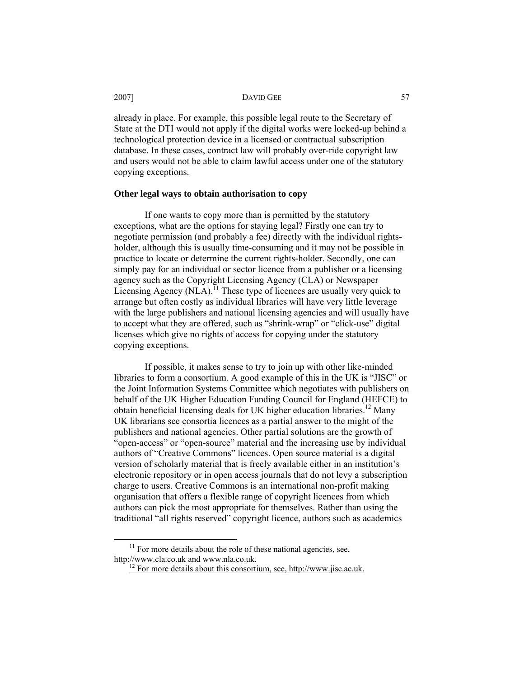already in place. For example, this possible legal route to the Secretary of State at the DTI would not apply if the digital works were locked-up behind a technological protection device in a licensed or contractual subscription database. In these cases, contract law will probably over-ride copyright law and users would not be able to claim lawful access under one of the statutory copying exceptions.

## **Other legal ways to obtain authorisation to copy**

If one wants to copy more than is permitted by the statutory exceptions, what are the options for staying legal? Firstly one can try to negotiate permission (and probably a fee) directly with the individual rightsholder, although this is usually time-consuming and it may not be possible in practice to locate or determine the current rights-holder. Secondly, one can simply pay for an individual or sector licence from a publisher or a licensing agency such as the Copyright Licensing Agency (CLA) or Newspaper Licensing Agency  $(NLA)$ .<sup>11</sup> These type of licences are usually very quick to arrange but often costly as individual libraries will have very little leverage with the large publishers and national licensing agencies and will usually have to accept what they are offered, such as "shrink-wrap" or "click-use" digital licenses which give no rights of access for copying under the statutory copying exceptions.

If possible, it makes sense to try to join up with other like-minded libraries to form a consortium. A good example of this in the UK is "JISC" or the Joint Information Systems Committee which negotiates with publishers on behalf of the UK Higher Education Funding Council for England (HEFCE) to obtain beneficial licensing deals for UK higher education libraries.<sup>12</sup> Many UK librarians see consortia licences as a partial answer to the might of the publishers and national agencies. Other partial solutions are the growth of "open-access" or "open-source" material and the increasing use by individual authors of "Creative Commons" licences. Open source material is a digital version of scholarly material that is freely available either in an institution's electronic repository or in open access journals that do not levy a subscription charge to users. Creative Commons is an international non-profit making organisation that offers a flexible range of copyright licences from which authors can pick the most appropriate for themselves. Rather than using the traditional "all rights reserved" copyright licence, authors such as academics

 $11$  For more details about the role of these national agencies, see, http://www.cla.co.uk and www.nla.co.uk.<br><sup>12</sup> For more details about this consortium, see, http://www.jisc.ac.uk.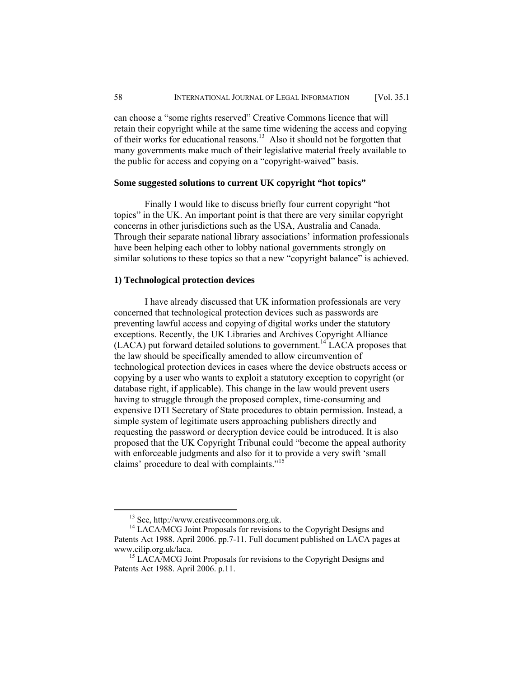can choose a "some rights reserved" Creative Commons licence that will retain their copyright while at the same time widening the access and copying of their works for educational reasons.13 Also it should not be forgotten that many governments make much of their legislative material freely available to the public for access and copying on a "copyright-waived" basis.

#### **Some suggested solutions to current UK copyright "hot topics"**

Finally I would like to discuss briefly four current copyright "hot topics" in the UK. An important point is that there are very similar copyright concerns in other jurisdictions such as the USA, Australia and Canada. Through their separate national library associations' information professionals have been helping each other to lobby national governments strongly on similar solutions to these topics so that a new "copyright balance" is achieved.

#### **1) Technological protection devices**

I have already discussed that UK information professionals are very concerned that technological protection devices such as passwords are preventing lawful access and copying of digital works under the statutory exceptions. Recently, the UK Libraries and Archives Copyright Alliance  $(LACA)$  put forward detailed solutions to government.<sup>14</sup> LACA proposes that the law should be specifically amended to allow circumvention of technological protection devices in cases where the device obstructs access or copying by a user who wants to exploit a statutory exception to copyright (or database right, if applicable). This change in the law would prevent users having to struggle through the proposed complex, time-consuming and expensive DTI Secretary of State procedures to obtain permission. Instead, a simple system of legitimate users approaching publishers directly and requesting the password or decryption device could be introduced. It is also proposed that the UK Copyright Tribunal could "become the appeal authority with enforceable judgments and also for it to provide a very swift 'small claims' procedure to deal with complaints."<sup>15</sup>

 <sup>13</sup> See, http://www.creativecommons.org.uk.

<sup>&</sup>lt;sup>14</sup> LACA/MCG Joint Proposals for revisions to the Copyright Designs and Patents Act 1988. April 2006. pp.7-11. Full document published on LACA pages at www.cilip.org.uk/laca.<br><sup>15</sup> LACA/MCG Joint Proposals for revisions to the Copyright Designs and

Patents Act 1988. April 2006. p.11.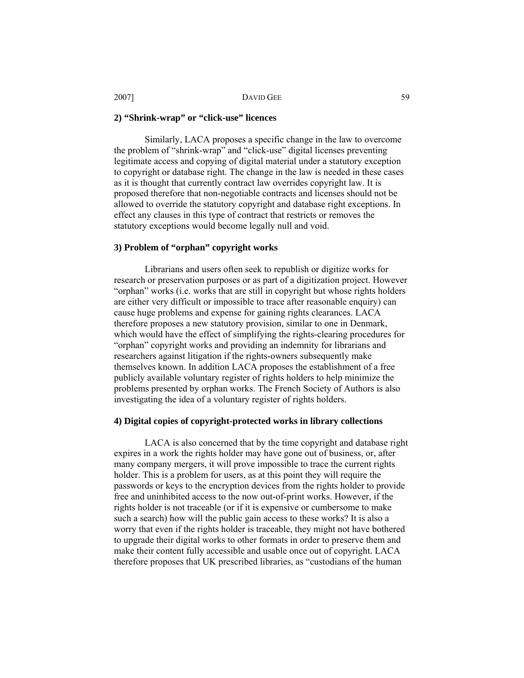#### **2) "Shrink-wrap" or "click-use" licences**

Similarly, LACA proposes a specific change in the law to overcome the problem of "shrink-wrap" and "click-use" digital licenses preventing legitimate access and copying of digital material under a statutory exception to copyright or database right. The change in the law is needed in these cases as it is thought that currently contract law overrides copyright law. It is proposed therefore that non-negotiable contracts and licenses should not be allowed to override the statutory copyright and database right exceptions. In effect any clauses in this type of contract that restricts or removes the statutory exceptions would become legally null and void.

#### **3) Problem of "orphan" copyright works**

Librarians and users often seek to republish or digitize works for research or preservation purposes or as part of a digitization project. However "orphan" works (i.e. works that are still in copyright but whose rights holders are either very difficult or impossible to trace after reasonable enquiry) can cause huge problems and expense for gaining rights clearances. LACA therefore proposes a new statutory provision, similar to one in Denmark, which would have the effect of simplifying the rights-clearing procedures for "orphan" copyright works and providing an indemnity for librarians and researchers against litigation if the rights-owners subsequently make themselves known. In addition LACA proposes the establishment of a free publicly available voluntary register of rights holders to help minimize the problems presented by orphan works. The French Society of Authors is also investigating the idea of a voluntary register of rights holders.

#### **4) Digital copies of copyright-protected works in library collections**

LACA is also concerned that by the time copyright and database right expires in a work the rights holder may have gone out of business, or, after many company mergers, it will prove impossible to trace the current rights holder. This is a problem for users, as at this point they will require the passwords or keys to the encryption devices from the rights holder to provide free and uninhibited access to the now out-of-print works. However, if the rights holder is not traceable (or if it is expensive or cumbersome to make such a search) how will the public gain access to these works? It is also a worry that even if the rights holder is traceable, they might not have bothered to upgrade their digital works to other formats in order to preserve them and make their content fully accessible and usable once out of copyright. LACA therefore proposes that UK prescribed libraries, as "custodians of the human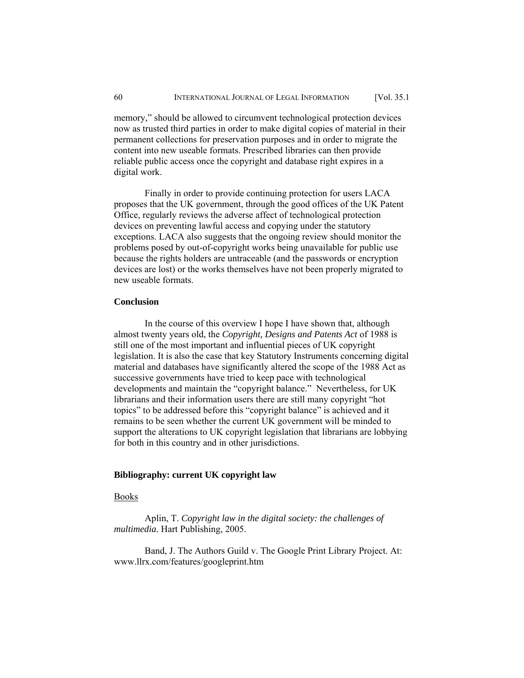memory," should be allowed to circumvent technological protection devices now as trusted third parties in order to make digital copies of material in their permanent collections for preservation purposes and in order to migrate the content into new useable formats. Prescribed libraries can then provide reliable public access once the copyright and database right expires in a digital work.

Finally in order to provide continuing protection for users LACA proposes that the UK government, through the good offices of the UK Patent Office, regularly reviews the adverse affect of technological protection devices on preventing lawful access and copying under the statutory exceptions. LACA also suggests that the ongoing review should monitor the problems posed by out-of-copyright works being unavailable for public use because the rights holders are untraceable (and the passwords or encryption devices are lost) or the works themselves have not been properly migrated to new useable formats.

## **Conclusion**

In the course of this overview I hope I have shown that, although almost twenty years old, the *Copyright, Designs and Patents Act* of 1988 is still one of the most important and influential pieces of UK copyright legislation. It is also the case that key Statutory Instruments concerning digital material and databases have significantly altered the scope of the 1988 Act as successive governments have tried to keep pace with technological developments and maintain the "copyright balance." Nevertheless, for UK librarians and their information users there are still many copyright "hot topics" to be addressed before this "copyright balance" is achieved and it remains to be seen whether the current UK government will be minded to support the alterations to UK copyright legislation that librarians are lobbying for both in this country and in other jurisdictions.

## **Bibliography: current UK copyright law**

#### Books

Aplin, T. *Copyright law in the digital society: the challenges of multimedia.* Hart Publishing, 2005.

Band, J. The Authors Guild v. The Google Print Library Project. At: www.llrx.com/features/googleprint.htm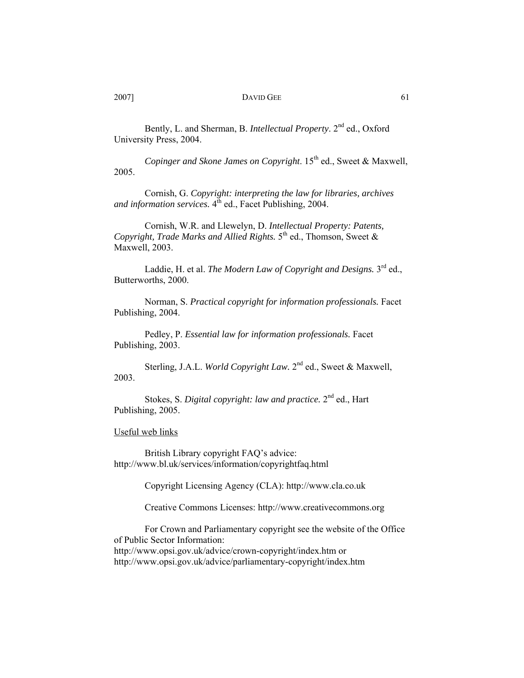Bently, L. and Sherman, B. *Intellectual Property*. 2nd ed., Oxford University Press, 2004.

Copinger and Skone James on Copyright. 15<sup>th</sup> ed., Sweet & Maxwell, 2005.

Cornish, G. *Copyright: interpreting the law for libraries, archives*  and information services.  $4^{th}$  ed., Facet Publishing, 2004.

Cornish, W.R. and Llewelyn, D. *Intellectual Property: Patents, Copyright, Trade Marks and Allied Rights.* 5<sup>th</sup> ed., Thomson, Sweet & Maxwell, 2003.

Laddie, H. et al. *The Modern Law of Copyright and Designs*. 3<sup>rd</sup> ed., Butterworths, 2000.

Norman, S. *Practical copyright for information professionals.* Facet Publishing, 2004.

Pedley, P. *Essential law for information professionals.* Facet Publishing, 2003.

Sterling, J.A.L. *World Copyright Law.* 2nd ed., Sweet & Maxwell, 2003.

Stokes, S. *Digital copyright: law and practice.* 2nd ed., Hart Publishing, 2005.

Useful web links

British Library copyright FAQ's advice: http://www.bl.uk/services/information/copyrightfaq.html

Copyright Licensing Agency (CLA): http://www.cla.co.uk

Creative Commons Licenses: http://www.creativecommons.org

For Crown and Parliamentary copyright see the website of the Office of Public Sector Information: http://www.opsi.gov.uk/advice/crown-copyright/index.htm or http://www.opsi.gov.uk/advice/parliamentary-copyright/index.htm